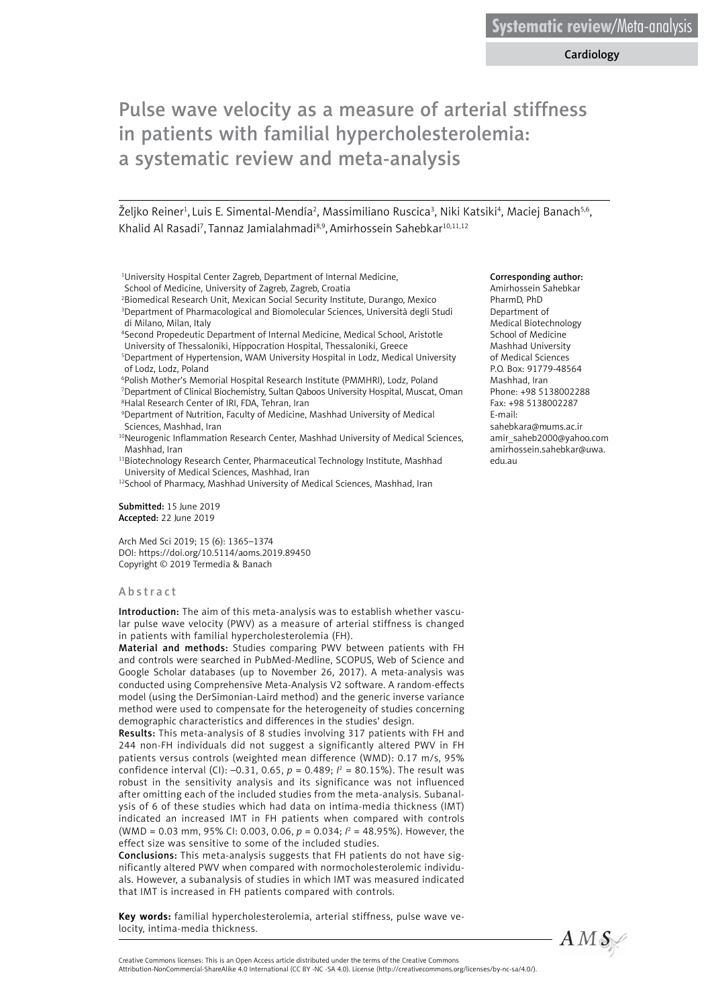Cardiology

# Pulse wave velocity as a measure of arterial stiffness in patients with familial hypercholesterolemia: a systematic review and meta-analysis

Željko Reiner<sup>1</sup>, Luis E. Simental-Mendía<sup>2</sup>, Massimiliano Ruscica<sup>3</sup>, Niki Katsiki<sup>4</sup>, Maciej Banach<sup>5,6</sup>, Khalid Al Rasadi<sup>7</sup>, Tannaz Jamialahmadi<sup>8,9</sup>, Amirhossein Sahebkar<sup>10,11,12</sup>

- <sup>1</sup>University Hospital Center Zagreb, Department of Internal Medicine, School of Medicine, University of Zagreb, Zagreb, Croatia
- 2 Biomedical Research Unit, Mexican Social Security Institute, Durango, Mexico 3 Department of Pharmacological and Biomolecular Sciences, Università degli Studi di Milano, Milan, Italy
- 4 Second Propedeutic Department of Internal Medicine, Medical School, Aristotle University of Thessaloniki, Hippocration Hospital, Thessaloniki, Greece
- 5 Department of Hypertension, WAM University Hospital in Lodz, Medical University of Lodz, Lodz, Poland
- 6 Polish Mother's Memorial Hospital Research Institute (PMMHRI), Lodz, Poland 7 Department of Clinical Biochemistry, Sultan Qaboos University Hospital, Muscat, Oman 8 Halal Research Center of IRI, FDA, Tehran, Iran
- 9 Department of Nutrition, Faculty of Medicine, Mashhad University of Medical Sciences, Mashhad, Iran
- <sup>10</sup>Neurogenic Inflammation Research Center, Mashhad University of Medical Sciences, Mashhad, Iran

11Biotechnology Research Center, Pharmaceutical Technology Institute, Mashhad University of Medical Sciences, Mashhad, Iran

Submitted: 15 June 2019 Accepted: 22 June 2019

Arch Med Sci 2019; 15 (6): 1365–1374 DOI: https://doi.org/10.5114/aoms.2019.89450 Copyright © 2019 Termedia & Banach

#### Abstract

Introduction: The aim of this meta-analysis was to establish whether vascular pulse wave velocity (PWV) as a measure of arterial stiffness is changed in patients with familial hypercholesterolemia (FH).

Material and methods: Studies comparing PWV between patients with FH and controls were searched in PubMed-Medline, SCOPUS, Web of Science and Google Scholar databases (up to November 26, 2017). A meta-analysis was conducted using Comprehensive Meta-Analysis V2 software. A random-effects model (using the DerSimonian-Laird method) and the generic inverse variance method were used to compensate for the heterogeneity of studies concerning demographic characteristics and differences in the studies' design.

Results: This meta-analysis of 8 studies involving 317 patients with FH and 244 non-FH individuals did not suggest a significantly altered PWV in FH patients versus controls (weighted mean difference (WMD): 0.17 m/s, 95% confidence interval (CI): –0.31, 0.65,  $p = 0.489; l^2 = 80.15\%$ ). The result was robust in the sensitivity analysis and its significance was not influenced after omitting each of the included studies from the meta-analysis. Subanalysis of 6 of these studies which had data on intima-media thickness (IMT) indicated an increased IMT in FH patients when compared with controls (WMD = 0.03 mm, 95% CI: 0.003, 0.06,  $p = 0.034$ ;  $l^2 = 48.95$ %). However, the effect size was sensitive to some of the included studies.

Conclusions: This meta-analysis suggests that FH patients do not have significantly altered PWV when compared with normocholesterolemic individuals. However, a subanalysis of studies in which IMT was measured indicated that IMT is increased in FH patients compared with controls.

**Key words:** familial hypercholesterolemia, arterial stiffness, pulse wave velocity, intima-media thickness.

#### Corresponding author:

Amirhossein Sahebkar PharmD, PhD Department of Medical Biotechnology School of Medicine Mashhad University of Medical Sciences P.O. Box: 91779-48564 Mashhad, Iran Phone: +98 5138002288 Fax: +98 5138002287 E-mail: [sahebkara@mums.ac.ir](mailto:sahebkara@mums.ac.ir) [amir\\_saheb2000@yahoo.com](mailto:amir_saheb2000@yahoo.com) amirhossein.sahebkar@uwa. edu.au



<sup>&</sup>lt;sup>12</sup>School of Pharmacy, Mashhad University of Medical Sciences, Mashhad, Iran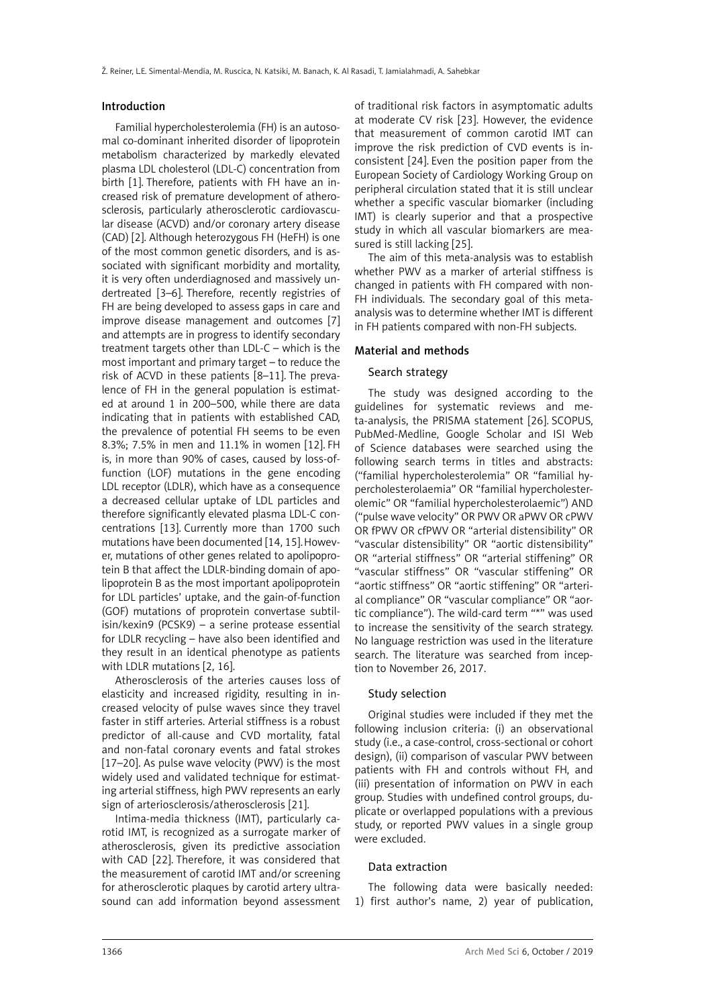#### Introduction

Familial hypercholesterolemia (FH) is an autosomal co-dominant inherited disorder of lipoprotein metabolism characterized by markedly elevated plasma LDL cholesterol (LDL-C) concentration from birth [1]. Therefore, patients with FH have an increased risk of premature development of atherosclerosis, particularly atherosclerotic cardiovascular disease (ACVD) and/or coronary artery disease (CAD) [2]. Although heterozygous FH (HeFH) is one of the most common genetic disorders, and is associated with significant morbidity and mortality, it is very often underdiagnosed and massively undertreated [3–6]. Therefore, recently registries of FH are being developed to assess gaps in care and improve disease management and outcomes [7] and attempts are in progress to identify secondary treatment targets other than LDL-C – which is the most important and primary target – to reduce the risk of ACVD in these patients [8–11]. The prevalence of FH in the general population is estimated at around 1 in 200–500, while there are data indicating that in patients with established CAD, the prevalence of potential FH seems to be even 8.3%; 7.5% in men and 11.1% in women [12]. FH is, in more than 90% of cases, caused by loss-offunction (LOF) mutations in the gene encoding LDL receptor (LDLR), which have as a consequence a decreased cellular uptake of LDL particles and therefore significantly elevated plasma LDL-C concentrations [13]. Currently more than 1700 such mutations have been documented [14, 15].However, mutations of other genes related to apolipoprotein B that affect the LDLR-binding domain of apolipoprotein B as the most important apolipoprotein for LDL particles' uptake, and the gain-of-function (GOF) mutations of proprotein convertase subtilisin/kexin9 (PCSK9) – a serine protease essential for LDLR recycling – have also been identified and they result in an identical phenotype as patients with LDLR mutations [2, 16].

Atherosclerosis of the arteries causes loss of elasticity and increased rigidity, resulting in increased velocity of pulse waves since they travel faster in stiff arteries. Arterial stiffness is a robust predictor of all-cause and CVD mortality, fatal and non-fatal coronary events and fatal strokes [17–20]. As pulse wave velocity (PWV) is the most widely used and validated technique for estimating arterial stiffness, high PWV represents an early sign of arteriosclerosis/atherosclerosis [21].

Intima-media thickness (IMT), particularly carotid IMT, is recognized as a surrogate marker of atherosclerosis, given its predictive association with CAD [22]. Therefore, it was considered that the measurement of carotid IMT and/or screening for atherosclerotic plaques by carotid artery ultrasound can add information beyond assessment

of traditional risk factors in asymptomatic adults at moderate CV risk [23]. However, the evidence that measurement of common carotid IMT can improve the risk prediction of CVD events is inconsistent [24]. Even the position paper from the European Society of Cardiology Working Group on peripheral circulation stated that it is still unclear whether a specific vascular biomarker (including IMT) is clearly superior and that a prospective study in which all vascular biomarkers are measured is still lacking [25].

The aim of this meta-analysis was to establish whether PWV as a marker of arterial stiffness is changed in patients with FH compared with non-FH individuals. The secondary goal of this metaanalysis was to determine whether IMT is different in FH patients compared with non-FH subjects.

# Material and methods

# Search strategy

The study was designed according to the guidelines for systematic reviews and meta-analysis, the PRISMA statement [26]. SCOPUS, PubMed-Medline, Google Scholar and ISI Web of Science databases were searched using the following search terms in titles and abstracts: ("familial hypercholesterolemia" OR "familial hypercholesterolaemia" OR "familial hypercholesterolemic" OR "familial hypercholesterolaemic") AND ("pulse wave velocity" OR PWV OR aPWV OR cPWV OR fPWV OR cfPWV OR "arterial distensibility" OR "vascular distensibility" OR "aortic distensibility" OR "arterial stiffness" OR "arterial stiffening" OR "vascular stiffness" OR "vascular stiffening" OR "aortic stiffness" OR "aortic stiffening" OR "arterial compliance" OR "vascular compliance" OR "aortic compliance"). The wild-card term "\*" was used to increase the sensitivity of the search strategy. No language restriction was used in the literature search. The literature was searched from inception to November 26, 2017.

#### Study selection

Original studies were included if they met the following inclusion criteria: (i) an observational study (i.e., a case-control, cross-sectional or cohort design), (ii) comparison of vascular PWV between patients with FH and controls without FH, and (iii) presentation of information on PWV in each group. Studies with undefined control groups, duplicate or overlapped populations with a previous study, or reported PWV values in a single group were excluded.

#### Data extraction

The following data were basically needed: 1) first author's name, 2) year of publication,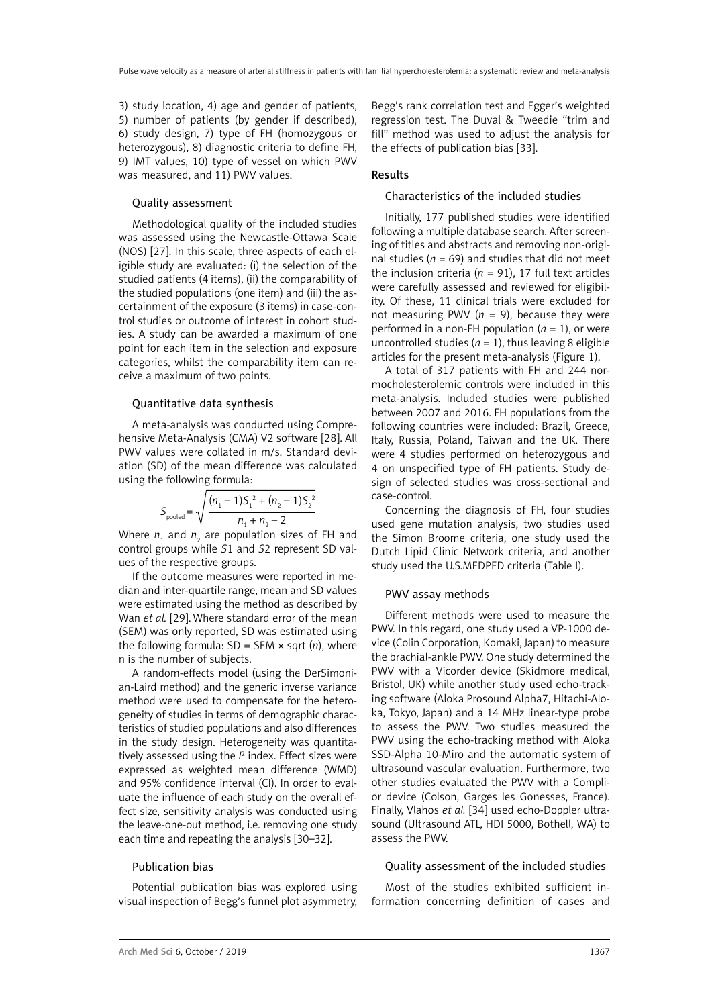3) study location, 4) age and gender of patients, 5) number of patients (by gender if described), 6) study design, 7) type of FH (homozygous or heterozygous), 8) diagnostic criteria to define FH, 9) IMT values, 10) type of vessel on which PWV was measured, and 11) PWV values.

## Quality assessment

Methodological quality of the included studies was assessed using the Newcastle-Ottawa Scale (NOS) [27]. In this scale, three aspects of each eligible study are evaluated: (i) the selection of the studied patients (4 items), (ii) the comparability of the studied populations (one item) and (iii) the ascertainment of the exposure (3 items) in case-control studies or outcome of interest in cohort studies. A study can be awarded a maximum of one point for each item in the selection and exposure categories, whilst the comparability item can receive a maximum of two points.

#### Quantitative data synthesis

A meta-analysis was conducted using Comprehensive Meta-Analysis (CMA) V2 software [28]. All PWV values were collated in m/s. Standard deviation (SD) of the mean difference was calculated using the following formula:

$$
S_{\text{pooled}} = \sqrt{\frac{(n_1 - 1)S_1^2 + (n_2 - 1)S_2^2}{n_1 + n_2 - 2}}
$$

Where  $n_{1}$  and  $n_{2}$  are population sizes of FH and control groups while *S*1 and *S*2 represent SD values of the respective groups.

If the outcome measures were reported in median and inter-quartile range, mean and SD values were estimated using the method as described by Wan *et al.* [29]. Where standard error of the mean (SEM) was only reported, SD was estimated using the following formula: SD = SEM × sqrt (*n*), where n is the number of subjects.

A random-effects model (using the DerSimonian-Laird method) and the generic inverse variance method were used to compensate for the heterogeneity of studies in terms of demographic characteristics of studied populations and also differences in the study design. Heterogeneity was quantitatively assessed using the  $l^2$  index. Effect sizes were expressed as weighted mean difference (WMD) and 95% confidence interval (CI). In order to evaluate the influence of each study on the overall effect size, sensitivity analysis was conducted using the leave-one-out method, i.e. removing one study each time and repeating the analysis [30–32].

### Publication bias

Potential publication bias was explored using visual inspection of Begg's funnel plot asymmetry,

Begg's rank correlation test and Egger's weighted regression test. The Duval & Tweedie "trim and fill" method was used to adjust the analysis for the effects of publication bias [33].

## Results

### Characteristics of the included studies

Initially, 177 published studies were identified following a multiple database search. After screening of titles and abstracts and removing non-original studies ( $n = 69$ ) and studies that did not meet the inclusion criteria ( $n = 91$ ), 17 full text articles were carefully assessed and reviewed for eligibility. Of these, 11 clinical trials were excluded for not measuring PWV ( $n = 9$ ), because they were performed in a non-FH population  $(n = 1)$ , or were uncontrolled studies  $(n = 1)$ , thus leaving 8 eligible articles for the present meta-analysis (Figure 1).

A total of 317 patients with FH and 244 normocholesterolemic controls were included in this meta-analysis. Included studies were published between 2007 and 2016. FH populations from the following countries were included: Brazil, Greece, Italy, Russia, Poland, Taiwan and the UK. There were 4 studies performed on heterozygous and 4 on unspecified type of FH patients. Study design of selected studies was cross-sectional and case-control.

Concerning the diagnosis of FH, four studies used gene mutation analysis, two studies used the Simon Broome criteria, one study used the Dutch Lipid Clinic Network criteria, and another study used the U.S.MEDPED criteria (Table I).

#### PWV assay methods

Different methods were used to measure the PWV. In this regard, one study used a VP-1000 device (Colin Corporation, Komaki, Japan) to measure the brachial-ankle PWV. One study determined the PWV with a Vicorder device (Skidmore medical, Bristol, UK) while another study used echo-tracking software (Aloka Prosound Alpha7, Hitachi-Aloka, Tokyo, Japan) and a 14 MHz linear-type probe to assess the PWV. Two studies measured the PWV using the echo-tracking method with Aloka SSD-Alpha 10-Miro and the automatic system of ultrasound vascular evaluation. Furthermore, two other studies evaluated the PWV with a Complior device (Colson, Garges les Gonesses, France). Finally, Vlahos *et al.* [34] used echo-Doppler ultrasound (Ultrasound ATL, HDI 5000, Bothell, WA) to assess the PWV.

#### Quality assessment of the included studies

Most of the studies exhibited sufficient information concerning definition of cases and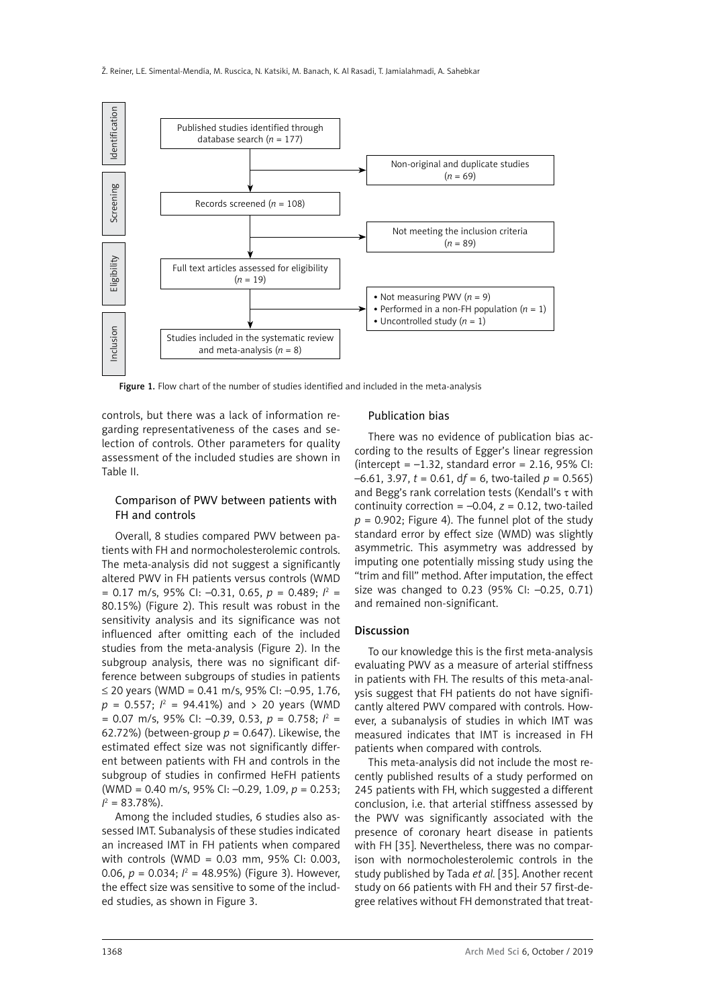

Figure 1. Flow chart of the number of studies identified and included in the meta-analysis

controls, but there was a lack of information regarding representativeness of the cases and selection of controls. Other parameters for quality assessment of the included studies are shown in Table II.

# Comparison of PWV between patients with FH and controls

Overall, 8 studies compared PWV between patients with FH and normocholesterolemic controls. The meta-analysis did not suggest a significantly altered PWV in FH patients versus controls (WMD  $= 0.17$  m/s, 95% CI:  $-0.31$ , 0.65,  $p = 0.489$ ;  $l^2 =$ 80.15%) (Figure 2). This result was robust in the sensitivity analysis and its significance was not influenced after omitting each of the included studies from the meta-analysis (Figure 2). In the subgroup analysis, there was no significant difference between subgroups of studies in patients ≤ 20 years (WMD = 0.41 m/s, 95% CI: –0.95, 1.76,  $p = 0.557;$   $l^2 = 94.41\%)$  and  $> 20$  years (WMD  $= 0.07$  m/s, 95% CI:  $-0.39$ , 0.53,  $p = 0.758$ ;  $l^2 =$ 62.72%) (between-group  $p = 0.647$ ). Likewise, the estimated effect size was not significantly different between patients with FH and controls in the subgroup of studies in confirmed HeFH patients (WMD = 0.40 m/s, 95% CI: –0.29, 1.09, *p* = 0.253;  $I^2 = 83.78\%$ ).

Among the included studies, 6 studies also assessed IMT. Subanalysis of these studies indicated an increased IMT in FH patients when compared with controls (WMD = 0.03 mm, 95% CI: 0.003, 0.06,  $p = 0.034$ ;  $l^2 = 48.95\%$ ) (Figure 3). However, the effect size was sensitive to some of the included studies, as shown in Figure 3.

# Publication bias

There was no evidence of publication bias according to the results of Egger's linear regression (intercept =  $-1.32$ , standard error = 2.16, 95% CI:  $-6.61$ , 3.97,  $t = 0.61$ ,  $df = 6$ , two-tailed  $p = 0.565$ ) and Begg's rank correlation tests (Kendall's  $\tau$  with continuity correction =  $-0.04$ ,  $z = 0.12$ , two-tailed  $p = 0.902$ ; Figure 4). The funnel plot of the study standard error by effect size (WMD) was slightly asymmetric. This asymmetry was addressed by imputing one potentially missing study using the "trim and fill" method. After imputation, the effect size was changed to 0.23 (95% CI: –0.25, 0.71) and remained non-significant.

#### Discussion

To our knowledge this is the first meta-analysis evaluating PWV as a measure of arterial stiffness in patients with FH. The results of this meta-analysis suggest that FH patients do not have significantly altered PWV compared with controls. However, a subanalysis of studies in which IMT was measured indicates that IMT is increased in FH patients when compared with controls.

This meta-analysis did not include the most recently published results of a study performed on 245 patients with FH, which suggested a different conclusion, i.e. that arterial stiffness assessed by the PWV was significantly associated with the presence of coronary heart disease in patients with FH [35]. Nevertheless, there was no comparison with normocholesterolemic controls in the study published by Tada *et al.* [35]. Another recent study on 66 patients with FH and their 57 first-degree relatives without FH demonstrated that treat-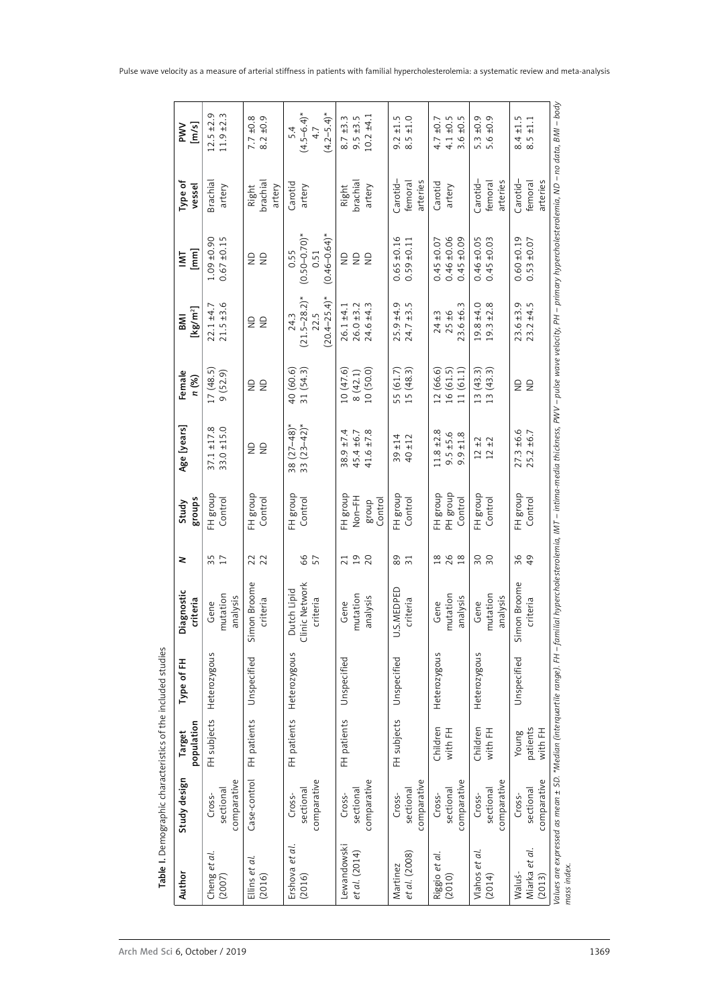| Author                            | Study design                       | Target                       | Type of FH   | Diagnostic                                | 2                    | Study                                               | Age [years]                                  | Female                              | мв                                                     | $\overline{\mathsf{M}}$                                | Type of                         |                                           |
|-----------------------------------|------------------------------------|------------------------------|--------------|-------------------------------------------|----------------------|-----------------------------------------------------|----------------------------------------------|-------------------------------------|--------------------------------------------------------|--------------------------------------------------------|---------------------------------|-------------------------------------------|
|                                   |                                    | population                   |              | criteria                                  |                      | <b>Slonbs</b>                                       |                                              | n (%)                               | $[kg/m^2]$                                             | [mm]                                                   | vessel                          |                                           |
| Cheng et al.<br>(2007)            | comparative<br>sectional<br>Cross- | FH subjects                  | Heterozygous | mutation<br>analysis<br>Gene              | 35<br>17             | FH group<br>Control                                 | $37.1 \pm 17.8$<br>$33.0 \pm 15.0$           | 17(48.5)<br>9 (52.9)                | $21.5 + 3.6$<br>$22.1 + 4.7$                           | $1.09 + 0.90$<br>$0.67 + 0.15$                         | <b>Brachia</b><br>artery        | $12.5 \pm 2.9$<br>$11.9 \pm 2.3$          |
| Ellins et al.<br>(2016)           | Case-control                       | FH patients                  | Unspecified  | mon Broome<br>criteria<br>5               | 22                   | FH group<br>Control                                 | 22                                           | 22                                  | $\trianglerighteq$<br>$\epsilon$                       | 22                                                     | brachial<br>artery<br>Right     | $8.2 \pm 0.9$<br>7.7                      |
| Ershova et al.<br>(2016)          | comparative<br>sectional<br>Cross- | FH patients                  | Heterozygous | Clinic Network<br>Dutch Lipid<br>criteria | 66<br>57             | FH group<br>Control                                 | $(27 - 48)^*$<br>$(23 - 42)^*$<br>38         | 40 (60.6)<br>31 (54.3)              | $(20.4 - 25.4)^*$<br>$(21.5 - 28.2)^*$<br>22.5<br>24.3 | $(0.50 - 0.70)$ *<br>$(0.46 - 0.64)^*$<br>0.55<br>0.51 | Carotid<br>artery               | $(4.5 - 6.4)^*$<br>$(4.2 - 5.4)^*$        |
| Lewandowski<br>et al. (2014)      | comparative<br>sectional<br>Cross- | FH patients                  | Unspecified  | mutation<br>analysis<br>Gene              | 7190                 | FH group<br>H <sub>1</sub> -hoN<br>Control<br>dno.8 | $38.9 + 7.4$<br>45.4 ±6.7<br>$41.6 \pm 7.8$  | 10 (50.0)<br>10(47.6)<br>8(42.1)    | $26.0 \pm 3.2$<br>$24.6 \pm 4.3$<br>$26.1 + 4.1$       | e g<br>$\epsilon$                                      | brachial<br>Right<br>artery     | $10.2 + 4.1$<br>$8.7 \pm 3.3$<br>9.5 ±3.5 |
| et al. (2008)<br>Martinez         | comparative<br>sectional<br>Cross- | FH subjects                  | Unspecified  | J.S.MEDPED<br>criteria                    | 89 71                | FH group<br>Control                                 | $39 + 14$<br>$40 + 12$                       | 55 (61.7)<br>15 (48.3)              | $25.9 \pm 4.9$<br>$24.7 \pm 3.5$                       | $0.65 \pm 0.16$<br>$0.59 + 0.11$                       | Carotid-<br>arteries<br>femoral | $9.\overline{3}$<br>8.5                   |
| Riggio et al.<br>(2010)           | comparative<br>sectional<br>Cross- | Children<br>with FH          | Heterozygous | mutation<br>analysis<br>Gene              | 288                  | FH group<br>PH group<br>Control                     | $11.8 \pm 2.8$<br>$9.5 \pm 5.6$<br>9.9 ± 1.8 | 16 (61.5)<br>12 (66.6)<br>11 (61.1) | $23.6 \pm 6.3$<br>25±6<br>$24 + 3$                     | $0.46 + 0.06$<br>±0.09<br>$0.45 \pm 0.07$<br>0.45      | Carotid<br>artery               | $4.1 \pm 0.5$<br>3.6 ±0.5<br>4.7          |
| Vlahos et al.<br>(2014)           | comparative<br>sectional<br>Cross- | Children<br>with FH          | Heterozygous | mutation<br>analysis<br>Gene              | $\frac{8}{20}$       | FH group<br>Control                                 | $\pm 2$<br>$12 \pm 2$<br>$\overline{12}$     | $13(43.3)$<br>$13(43.3)$            | ±4.0<br>±2.8<br>19.8<br>19.3                           | ±0.05<br>±0.03<br>0.46<br>0.45                         | Carotid-<br>arteries<br>femoral | 5.3<br>5.6                                |
| Miarka et al.<br>Waluś-<br>(2013) | comparative<br>sectional<br>Cross- | patients<br>with FH<br>Young | Unspecified  | mon Broome<br>criteria<br>5               | 36<br>$\overline{6}$ | FH group<br>Control                                 | $27.3 \pm 6.6$<br>$25.2 \pm 6.7$             | $\epsilon$<br>$\epsilon$            | ±4.5<br>$23.6 + 3.9$<br>23.2                           | $0.60 \pm 0.19$<br>±0.07<br>0.53                       | Carotid-<br>arteries<br>femoral | 8.4<br>8.5                                |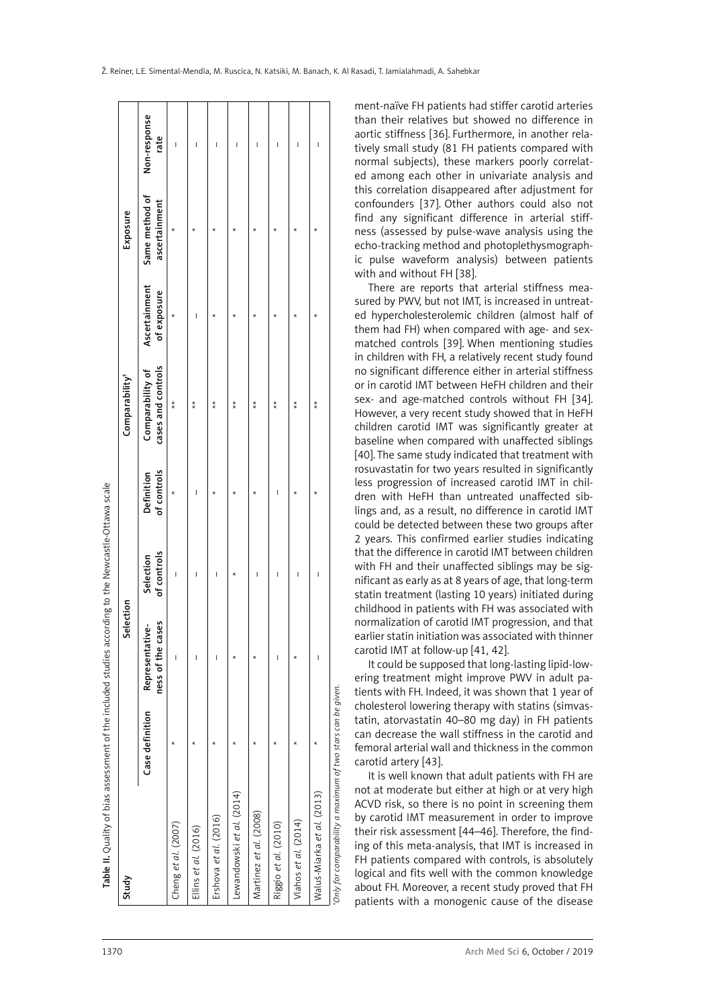| Study                                                        |                 | Selection                                 |                          |                           | Comparability <sup>†</sup>             |                              | Exposure                                     |      |
|--------------------------------------------------------------|-----------------|-------------------------------------------|--------------------------|---------------------------|----------------------------------------|------------------------------|----------------------------------------------|------|
|                                                              | Case definition | cases<br>Representative-<br>ness of the c | of controls<br>Selection | of controls<br>Definition | Comparability of<br>cases and controls | Ascertainment<br>of exposure | Same method of Non-response<br>ascertainment | rate |
| Cheng et al. (2007)                                          |                 | Ī                                         | I                        |                           | $*$                                    |                              |                                              | I    |
| Ellins et al. (2016)                                         | $\star$         | I                                         |                          | I                         | $*$                                    |                              | $\star$                                      | ı    |
| Ershova et al. $(2016)$                                      |                 | I                                         |                          |                           | $*$                                    |                              | ×                                            | ı    |
| Lewandowski et al. (2014)                                    |                 |                                           |                          |                           | $\frac{*}{*}$                          |                              |                                              | ı    |
| Martinez <i>et al.</i> (2008)                                | $\star$         |                                           | Ï                        |                           | $*$                                    |                              |                                              | Ï    |
| Riggio et al. (2010)                                         |                 | ı                                         | ı                        | I                         | $* *$                                  |                              |                                              | I    |
| Vlahos et al. (2014)                                         |                 |                                           | Ī                        |                           | $\frac{*}{*}$                          |                              | $\star$                                      | I    |
| Waluś-Miarka et al. (2013)                                   | $\star$         | I                                         | I                        |                           | $*$                                    |                              | $\star$                                      | I    |
| 'Only for comparability a maximum of two stars can be given. |                 |                                           |                          |                           |                                        |                              |                                              |      |

than their relatives but showed no difference in aortic stiffness [36]. Furthermore, in another rela tively small study (81 FH patients compared with normal subjects), these markers poorly correlat ed among each other in univariate analysis and this correlation disappeared after adjustment for confounders [37]. Other authors could also not find any significant difference in arterial stiff ness (assessed by pulse -wave analysis using the echo -tracking method and photoplethysmograph ic pulse waveform analysis) between patients with and without FH [38].

ment-naïve FH patients had stiffer carotid arteries

There are reports that arterial stiffness mea sured by PWV, but not IMT, is increased in untreat ed hypercholesterolemic children (almost half of them had FH) when compared with age- and sexmatched controls [39]. When mentioning studies in children with FH, a relatively recent study found no significant difference either in arterial stiffness or in carotid IMT between HeFH children and their sex- and age-matched controls without FH [34]. However, a very recent study showed that in HeFH children carotid IMT was significantly greater at baseline when compared with unaffected siblings [40].The same study indicated that treatment with rosuvastatin for two years resulted in significantly less progression of increased carotid IMT in chil dren with HeFH than untreated unaffected sib lings and, as a result, no difference in carotid IMT could be detected between these two groups after 2 years. This confirmed earlier studies indicating that the difference in carotid IMT between children with FH and their unaffected siblings may be sig nificant as early as at 8 years of age, that long-term statin treatment (lasting 10 years) initiated during childhood in patients with FH was associated with normalization of carotid IMT progression, and that earlier statin initiation was associated with thinner carotid IMT at follow-up [41, 42].

It could be supposed that long-lasting lipid-low ering treatment might improve PWV in adult pa tients with FH. Indeed, it was shown that 1 year of cholesterol lowering therapy with statins (simvas tatin, atorvastatin 40–80 mg day) in FH patients can decrease the wall stiffness in the carotid and femoral arterial wall and thickness in the common carotid artery [43].

It is well known that adult patients with FH are not at moderate but either at high or at very high ACVD risk, so there is no point in screening them by carotid IMT measurement in order to improve their risk assessment [44–46]. Therefore, the find ing of this meta-analysis, that IMT is increased in FH patients compared with controls, is absolutely logical and fits well with the common knowledge about FH. Moreover, a recent study proved that FH patients with a monogenic cause of the disease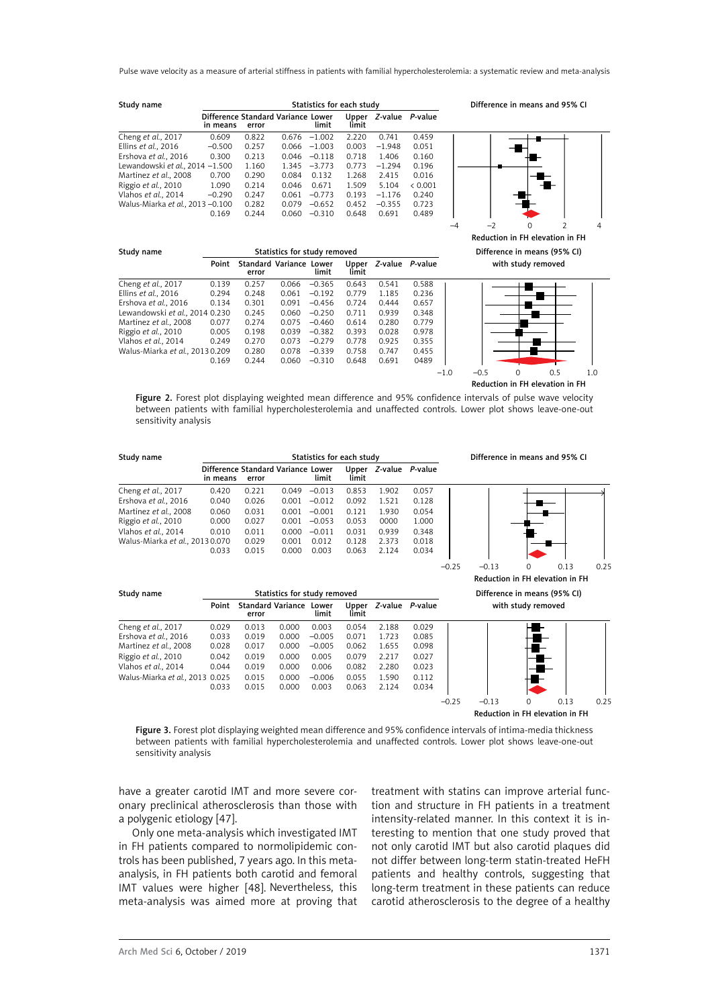Pulse wave velocity as a measure of arterial stiffness in patients with familial hypercholesterolemia: a systematic review and meta-analysis

| Study name                       |                                                |       |       | Statistics for each study |                |          |                 |
|----------------------------------|------------------------------------------------|-------|-------|---------------------------|----------------|----------|-----------------|
|                                  | Difference Standard Variance Lower<br>in means | error |       | limit                     | Upper<br>limit |          | Z-value P-value |
| Cheng et al., 2017               | 0.609                                          | 0.822 | 0.676 | $-1.002$                  | 2.220          | 0.741    | 0.459           |
| Ellins et al., 2016              | $-0.500$                                       | 0.257 | 0.066 | $-1.003$                  | 0.003          | $-1.948$ | 0.051           |
| Ershova et al., 2016             | 0.300                                          | 0.213 | 0.046 | $-0.118$                  | 0.718          | 1.406    | 0.160           |
| Lewandowski et al., 2014 -1.500  |                                                | 1.160 | 1.345 | $-3.773$                  | 0.773          | $-1.294$ | 0.196           |
| Martinez et al., 2008            | 0.700                                          | 0.290 | 0.084 | 0.132                     | 1.268          | 2.415    | 0.016           |
| Riggio et al., 2010              | 1.090                                          | 0.214 | 0.046 | 0.671                     | 1.509          | 5.104    | < 0.001         |
| Vlahos et al., 2014              | $-0.290$                                       | 0.247 | 0.061 | $-0.773$                  | 0.193          | $-1.176$ | 0.240           |
| Walus-Miarka et al., 2013 -0.100 |                                                | 0.282 | 0.079 | $-0.652$                  | 0.452          | $-0.355$ | 0.723           |
|                                  | 0.169                                          | 0.244 | 0.060 | $-0.310$                  | 0.648          | 0.691    | 0.489           |





Study name Statistics for study removed Difference in means (95% CI) Point Standard Variance Lower Upper *Z*-value *P*-value with study removed error limit limit limit Cheng *et al.*, 2017 0.139 0.257 0.066 –0.365 0.643 0.541 0.588 Ellins *et al.*, 2016 0.294 0.248 0.061<br>Ershova *et al.*, 2016 0.134 0.301 0.091 Ershova *et al.*, 2016 0.134 0.301 0.091 –0.456 0.724 0.444 0.657 Lewandowski *et al.*, 2014 0.230 0.245 0.060 –0.250 0.711 0.939 0.348 Martinez *et al.*, 2008 0.077 0.274 0.075 –0.460 0.614 0.280 0.779 Riggio *et al.*, 2010 0.005 0.198 0.039 –0.382 0.393 0.028 0.978 Vlahos *et al.*, 2014 0.249 0.270 0.073 –0.279 0.778 0.925 0.355 Walus-Miarka *et al.*, 2013 0.209 0.280 0.078 –0.339 0.758<br>0.169 0.280 0.060 -0.310 0.648 0.169 0.244 0.060 –0.310 0.648 0.691 0489



Figure 2. Forest plot displaying weighted mean difference and 95% confidence intervals of pulse wave velocity between patients with familial hypercholesterolemia and unaffected controls. Lower plot shows leave-one-out sensitivity analysis

| Study name                      | Statistics for each study                      |       |       |          |                |         |         |  |
|---------------------------------|------------------------------------------------|-------|-------|----------|----------------|---------|---------|--|
|                                 | Difference Standard Variance Lower<br>in means | error |       | limit    | Upper<br>limit | Z-value | P-value |  |
| Cheng et al., 2017              | 0.420                                          | 0.221 | 0.049 | $-0.013$ | 0.853          | 1.902   | 0.057   |  |
| Ershova et al., 2016            | 0.040                                          | 0.026 | 0.001 | $-0.012$ | 0.092          | 1.521   | 0.128   |  |
| Martinez et al., 2008           | 0.060                                          | 0.031 | 0.001 | $-0.001$ | 0.121          | 1.930   | 0.054   |  |
| Riggio et al., 2010             | 0.000                                          | 0.027 | 0.001 | $-0.053$ | 0.053          | 0000    | 1.000   |  |
| Vlahos et al., 2014             | 0.010                                          | 0.011 | 0.000 | $-0.011$ | 0.031          | 0.939   | 0.348   |  |
| Walus-Miarka et al., 2013 0.070 |                                                | 0.029 | 0.001 | 0.012    | 0.128          | 2.373   | 0.018   |  |
|                                 | 0.033                                          | 0.015 | 0.000 | 0.003    | 0.063          | 2 1 2 4 | 0.034   |  |

error

Cheng *et al.*, 2017 0.029 0.013 0.000 0.003 0.054 2.188 0.029 Ershova *et al.*, 2016 0.033 0.019 0.000 –0.005 0.071 1.723 0.085

Riggio *et al.*, 2010 0.042 0.019 0.000 0.005 0.079 2.217 0.027 Vlahos *et al.*, 2014 0.044 0.019 0.000 0.006 0.082 2.280 0.023 Walus-Miarka *et al.*, 2013 0.025 0.015 0.000 –0.006 0.055 1.590 0.112

0.033 0.015 0.000 0.003 0.063 2.124 0.034

Difference in means and 95% CI





Figure 3. Forest plot displaying weighted mean difference and 95% confidence intervals of intima-media thickness between patients with familial hypercholesterolemia and unaffected controls. Lower plot shows leave-one-out sensitivity analysis

have a greater carotid IMT and more severe coronary preclinical atherosclerosis than those with a polygenic etiology [47].

Only one meta-analysis which investigated IMT in FH patients compared to normolipidemic controls has been published, 7 years ago. In this metaanalysis, in FH patients both carotid and femoral IMT values were higher [48]. Nevertheless, this meta-analysis was aimed more at proving that treatment with statins can improve arterial function and structure in FH patients in a treatment intensity-related manner. In this context it is interesting to mention that one study proved that not only carotid IMT but also carotid plaques did not differ between long-term statin-treated HeFH patients and healthy controls, suggesting that long-term treatment in these patients can reduce carotid atherosclerosis to the degree of a healthy

Martinez *et al.*, 2008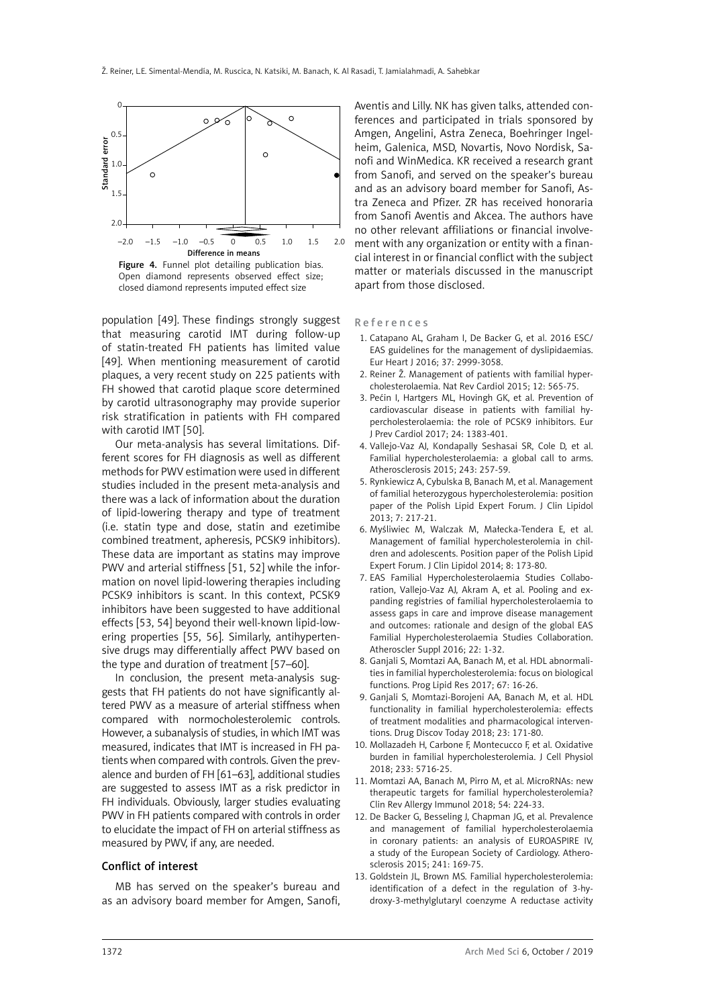

Figure 4. Funnel plot detailing publication bias. Open diamond represents observed effect size; closed diamond represents imputed effect size

population [49]. These findings strongly suggest that measuring carotid IMT during follow-up of statin-treated FH patients has limited value [49]. When mentioning measurement of carotid plaques, a very recent study on 225 patients with FH showed that carotid plaque score determined by carotid ultrasonography may provide superior risk stratification in patients with FH compared with carotid IMT [50].

Our meta-analysis has several limitations. Different scores for FH diagnosis as well as different methods for PWV estimation were used in different studies included in the present meta-analysis and there was a lack of information about the duration of lipid-lowering therapy and type of treatment (i.e. statin type and dose, statin and ezetimibe combined treatment, apheresis, PCSK9 inhibitors). These data are important as statins may improve PWV and arterial stiffness [51, 52] while the information on novel lipid-lowering therapies including PCSK9 inhibitors is scant. In this context, PCSK9 inhibitors have been suggested to have additional effects [53, 54] beyond their well-known lipid-lowering properties [55, 56]. Similarly, antihypertensive drugs may differentially affect PWV based on the type and duration of treatment [57–60].

In conclusion, the present meta-analysis suggests that FH patients do not have significantly altered PWV as a measure of arterial stiffness when compared with normocholesterolemic controls. However, a subanalysis of studies, in which IMT was measured, indicates that IMT is increased in FH patients when compared with controls. Given the prevalence and burden of FH [61–63], additional studies are suggested to assess IMT as a risk predictor in FH individuals. Obviously, larger studies evaluating PWV in FH patients compared with controls in order to elucidate the impact of FH on arterial stiffness as measured by PWV, if any, are needed.

#### Conflict of interest

MB has served on the speaker's bureau and as an advisory board member for Amgen, Sanofi,

Aventis and Lilly. NK has given talks, attended conferences and participated in trials sponsored by Amgen, Angelini, Astra Zeneca, Boehringer Ingelheim, Galenica, MSD, Novartis, Novo Nordisk, Sanofi and WinMedica. KR received a research grant from Sanofi, and served on the speaker's bureau and as an advisory board member for Sanofi, Astra Zeneca and Pfizer. ZR has received honoraria from Sanofi Aventis and Akcea. The authors have no other relevant affiliations or financial involvement with any organization or entity with a financial interest in or financial conflict with the subject matter or materials discussed in the manuscript apart from those disclosed.

References

- 1. Catapano AL, Graham I, De Backer G, et al. 2016 ESC/ EAS guidelines for the management of dyslipidaemias. Eur Heart J 2016; 37: 2999-3058.
- 2. Reiner Ž. Management of patients with familial hypercholesterolaemia. Nat Rev Cardiol 2015; 12: 565-75.
- 3. Pećin I, Hartgers ML, Hovingh GK, et al. Prevention of cardiovascular disease in patients with familial hypercholesterolaemia: the role of PCSK9 inhibitors. Eur J Prev Cardiol 2017; 24: 1383-401.
- 4. Vallejo-Vaz AJ, Kondapally Seshasai SR, Cole D, et al. Familial hypercholesterolaemia: a global call to arms. Atherosclerosis 2015; 243: 257-59.
- 5. Rynkiewicz A, Cybulska B, Banach M, et al. Management of familial heterozygous hypercholesterolemia: position paper of the Polish Lipid Expert Forum. J Clin Lipidol 2013; 7: 217-21.
- 6. Myśliwiec M, Walczak M, Małecka-Tendera E, et al. Management of familial hypercholesterolemia in children and adolescents. Position paper of the Polish Lipid Expert Forum. J Clin Lipidol 2014; 8: 173-80.
- 7. EAS Familial Hypercholesterolaemia Studies Collaboration, Vallejo-Vaz AJ, Akram A, et al. Pooling and expanding registries of familial hypercholesterolaemia to assess gaps in care and improve disease management and outcomes: rationale and design of the global EAS Familial Hypercholesterolaemia Studies Collaboration. Atheroscler Suppl 2016; 22: 1-32.
- 8. Ganjali S, Momtazi AA, Banach M, et al. HDL abnormalities in familial hypercholesterolemia: focus on biological functions. Prog Lipid Res 2017; 67: 16-26.
- 9. Ganjali S, Momtazi-Borojeni AA, Banach M, et al. HDL functionality in familial hypercholesterolemia: effects of treatment modalities and pharmacological interventions. Drug Discov Today 2018; 23: 171-80.
- 10. Mollazadeh H, Carbone F, Montecucco F, et al. Oxidative burden in familial hypercholesterolemia. J Cell Physiol 2018; 233: 5716-25.
- 11. Momtazi AA, Banach M, Pirro M, et al. MicroRNAs: new therapeutic targets for familial hypercholesterolemia? Clin Rev Allergy Immunol 2018; 54: 224-33.
- 12. De Backer G, Besseling J, Chapman JG, et al. Prevalence and management of familial hypercholesterolaemia in coronary patients: an analysis of EUROASPIRE IV, a study of the European Society of Cardiology. Atherosclerosis 2015; 241: 169-75.
- 13. Goldstein JL, Brown MS. Familial hypercholesterolemia: identification of a defect in the regulation of 3-hydroxy-3-methylglutaryl coenzyme A reductase activity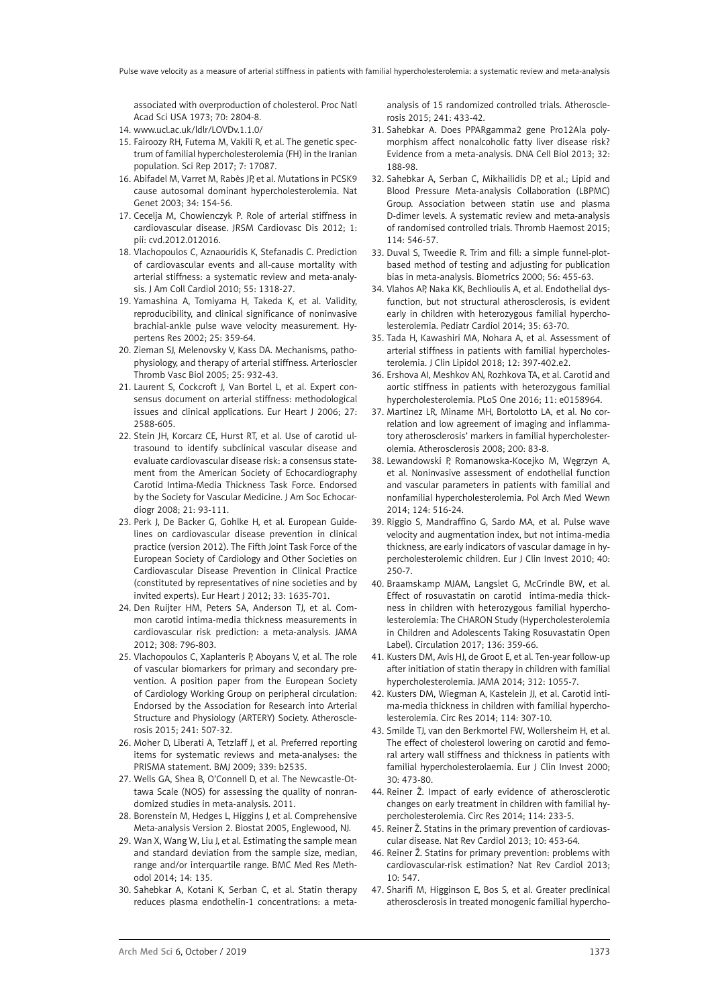associated with overproduction of cholesterol. Proc Natl Acad Sci USA 1973; 70: 2804-8.

- 14. [www.ucl.ac.uk/ldlr/LOVDv.1.1.0/](http://www.ucl.ac.uk/ldlr/LOVDv.1.1.0/)
- 15. Fairoozy RH, Futema M, Vakili R, et al. The genetic spectrum of familial hypercholesterolemia (FH) in the Iranian population. Sci Rep 2017; 7: 17087.
- 16. Abifadel M, Varret M, Rabès JP, et al. Mutations in PCSK9 cause autosomal dominant hypercholesterolemia. Nat Genet 2003; 34: 154-56.
- 17. Cecelja M, Chowienczyk P. Role of arterial stiffness in cardiovascular disease. JRSM Cardiovasc Dis 2012; 1: pii: cvd.2012.012016.
- 18. Vlachopoulos C, Aznaouridis K, Stefanadis C. Prediction of cardiovascular events and all-cause mortality with arterial stiffness: a systematic review and meta-analysis. J Am Coll Cardiol 2010; 55: 1318-27.
- 19. Yamashina A, Tomiyama H, Takeda K, et al. Validity, reproducibility, and clinical significance of noninvasive brachial-ankle pulse wave velocity measurement. Hypertens Res 2002; 25: 359-64.
- 20. Zieman SJ, Melenovsky V, Kass DA. Mechanisms, pathophysiology, and therapy of arterial stiffness. Arterioscler Thromb Vasc Biol 2005; 25: 932-43.
- 21. Laurent S, Cockcroft J, Van Bortel L, et al. Expert consensus document on arterial stiffness: methodological issues and clinical applications. Eur Heart J 2006; 27: 2588-605.
- 22. Stein JH, Korcarz CE, Hurst RT, et al. Use of carotid ultrasound to identify subclinical vascular disease and evaluate cardiovascular disease risk: a consensus statement from the American Society of Echocardiography Carotid Intima-Media Thickness Task Force. Endorsed by the Society for Vascular Medicine. J Am Soc Echocardiogr 2008; 21: 93-111.
- 23. Perk J, De Backer G, Gohlke H, et al. European Guidelines on cardiovascular disease prevention in clinical practice (version 2012). The Fifth Joint Task Force of the European Society of Cardiology and Other Societies on Cardiovascular Disease Prevention in Clinical Practice (constituted by representatives of nine societies and by invited experts). Eur Heart J 2012; 33: 1635-701.
- 24. Den Ruijter HM, Peters SA, Anderson TJ, et al. Common carotid intima-media thickness measurements in cardiovascular risk prediction: a meta-analysis. JAMA 2012; 308: 796-803.
- 25. Vlachopoulos C, Xaplanteris P, Aboyans V, et al. The role of vascular biomarkers for primary and secondary prevention. A position paper from the European Society of Cardiology Working Group on peripheral circulation: Endorsed by the Association for Research into Arterial Structure and Physiology (ARTERY) Society. Atherosclerosis 2015; 241: 507-32.
- 26. Moher D, Liberati A, Tetzlaff J, et al. Preferred reporting items for systematic reviews and meta-analyses: the PRISMA statement. BMJ 2009; 339: b2535.
- 27. Wells GA, Shea B, O'Connell D, et al. The Newcastle-Ottawa Scale (NOS) for assessing the quality of nonrandomized studies in meta-analysis. 2011.
- 28. Borenstein M, Hedges L, Higgins J, et al. Comprehensive Meta-analysis Version 2. Biostat 2005, Englewood, NJ.
- 29. Wan X, Wang W, Liu J, et al. Estimating the sample mean and standard deviation from the sample size, median, range and/or interquartile range. BMC Med Res Methodol 2014; 14: 135.
- 30. Sahebkar A, Kotani K, Serban C, et al. Statin therapy reduces plasma endothelin-1 concentrations: a meta-

analysis of 15 randomized controlled trials. Atherosclerosis 2015; 241: 433-42.

- 31. Sahebkar A. Does PPARgamma2 gene Pro12Ala polymorphism affect nonalcoholic fatty liver disease risk? Evidence from a meta-analysis. DNA Cell Biol 2013; 32: 188-98.
- 32. Sahebkar A, Serban C, Mikhailidis DP, et al.; Lipid and Blood Pressure Meta-analysis Collaboration (LBPMC) Group. Association between statin use and plasma D-dimer levels. A systematic review and meta-analysis of randomised controlled trials. Thromb Haemost 2015; 114: 546-57.
- 33. Duval S, Tweedie R. Trim and fill: a simple funnel-plotbased method of testing and adjusting for publication bias in meta-analysis. Biometrics 2000; 56: 455-63.
- 34. Vlahos AP, Naka KK, Bechlioulis A, et al. Endothelial dysfunction, but not structural atherosclerosis, is evident early in children with heterozygous familial hypercholesterolemia. Pediatr Cardiol 2014; 35: 63-70.
- 35. Tada H, Kawashiri MA, Nohara A, et al. Assessment of arterial stiffness in patients with familial hypercholesterolemia. J Clin Lipidol 2018; 12: 397-402.e2.
- 36. Ershova AI, Meshkov AN, Rozhkova TA, et al. Carotid and aortic stiffness in patients with heterozygous familial hypercholesterolemia. PLoS One 2016; 11: e0158964.
- 37. Martinez LR, Miname MH, Bortolotto LA, et al. No correlation and low agreement of imaging and inflammatory atherosclerosis' markers in familial hypercholesterolemia. Atherosclerosis 2008; 200: 83-8.
- 38. Lewandowski P, Romanowska-Kocejko M, Węgrzyn A, et al. Noninvasive assessment of endothelial function and vascular parameters in patients with familial and nonfamilial hypercholesterolemia. Pol Arch Med Wewn 2014; 124: 516-24.
- 39. Riggio S, Mandraffino G, Sardo MA, et al. Pulse wave velocity and augmentation index, but not intima-media thickness, are early indicators of vascular damage in hypercholesterolemic children. Eur J Clin Invest 2010; 40: 250-7.
- 40. Braamskamp MJAM, Langslet G, McCrindle BW, et al. Effect of rosuvastatin on carotid intima-media thickness in children with heterozygous familial hypercholesterolemia: The CHARON Study (Hypercholesterolemia in Children and Adolescents Taking Rosuvastatin Open Label). Circulation 2017; 136: 359-66.
- 41. Kusters DM, Avis HJ, de Groot E, et al. Ten-year follow-up after initiation of statin therapy in children with familial hypercholesterolemia. JAMA 2014; 312: 1055-7.
- 42. Kusters DM, Wiegman A, Kastelein JJ, et al. Carotid intima-media thickness in children with familial hypercholesterolemia. Circ Res 2014; 114: 307-10.
- 43. Smilde TJ, van den Berkmortel FW, Wollersheim H, et al. The effect of cholesterol lowering on carotid and femoral artery wall stiffness and thickness in patients with familial hypercholesterolaemia. Eur J Clin Invest 2000; 30: 473-80.
- 44. Reiner Ž. Impact of early evidence of atherosclerotic changes on early treatment in children with familial hypercholesterolemia. Circ Res 2014; 114: 233-5.
- 45. Reiner Ž. Statins in the primary prevention of cardiovascular disease. Nat Rev Cardiol 2013; 10: 453-64.
- 46. Reiner Ž. Statins for primary prevention: problems with cardiovascular-risk estimation? Nat Rev Cardiol 2013; 10: 547.
- 47. Sharifi M, Higginson E, Bos S, et al. Greater preclinical atherosclerosis in treated monogenic familial hypercho-